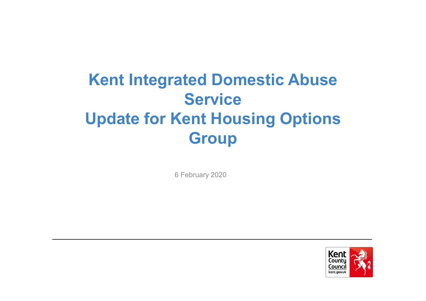## **Kent Integrated Domestic Abuse Service Update for Kent Housing Options Group**

6 February 2020

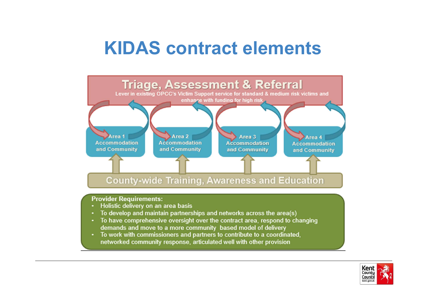## **KIDAS contract elements**



- Holistic delivery on an area basis
- To develop and maintain partnerships and networks across the area(s)
- To have comprehensive oversight over the contract area, respond to changing demands and move to a more community based model of delivery
- To work with commissioners and partners to contribute to a coordinated, networked community response, articulated well with other provision

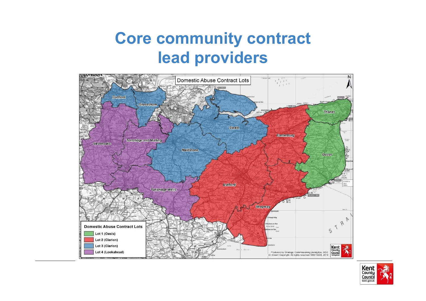#### **Core community contract lead providers**



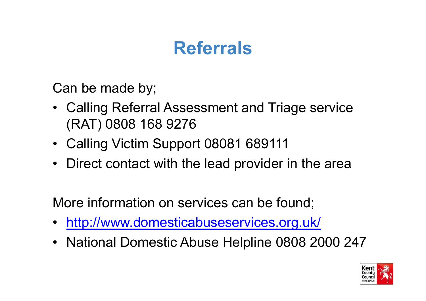# **Referrals**

Can be made by;

- Calling Referral Assessment and Triage service<br>(RAT) 0808 468 0376 (RAT) 0808 168 9276
- Calling Victim Support 08081 689111
- Direct contact with the lead provider in the area

More information on services can be found;

- •<http://www.domesticabuseservices.org.uk/>
- National Domestic Abuse Helpline 0808 2000 247

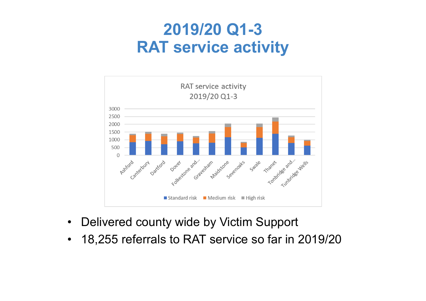#### **2019/20 Q1-3RAT service activity**



- $\bullet$ Delivered county wide by Victim Support
- $\bullet$ 18,255 referrals to RAT service so far in 2019/20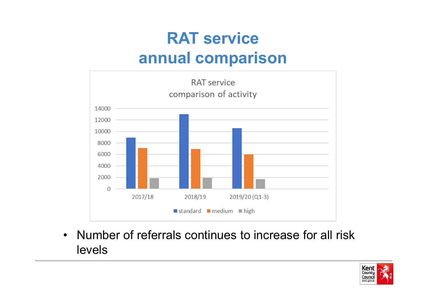## **RAT serviceannual comparison**



• Number of referrals continues to increase for all risk<br>Lavela levels

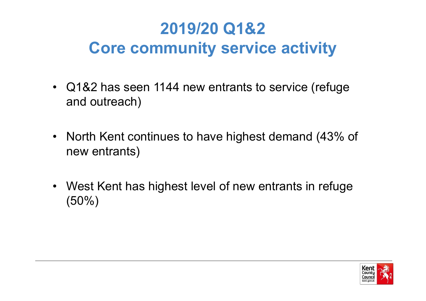## **2019/20 Q1&2Core community service activity**

- Q1&2 has seen 1144 new entrants to service (refuge and autress b) and outreach)
- North Kent continues to have highest demand (43% of new entrants)
- West Kent has highest level of new entrants in refuge<br>(50%) (50%)

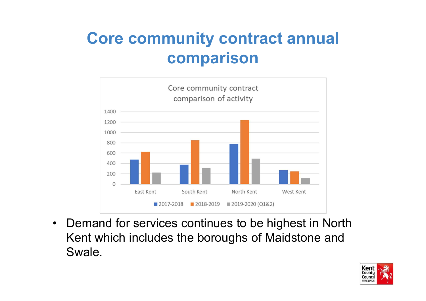### **Core community contract annual comparison**



• Demand for services continues to be highest in North<br>Kanturbish includes the beraushe of Maidstane and Kent which includes the boroughs of Maidstone and Swale.

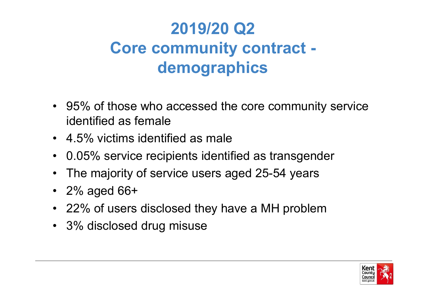## **2019/20 Q2 Core community contract demographics**

- 95% of those who accessed the core community service<br>identified as famals identified as female
- 4.5% victims identified as male
- 0.05% service recipients identified as transgender
- $\bullet$ The majority of service users aged 25-54 years
- 2% aged 66+
- 22% of users disclosed they have a MH problem
- 3% disclosed drug misuse

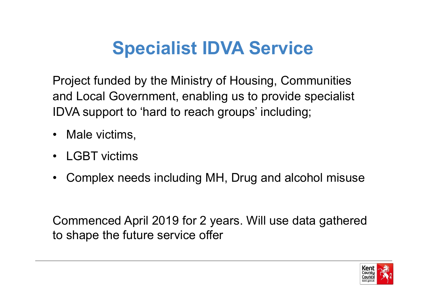# **Specialist IDVA Service**

Project funded by the Ministry of Housing, Communities and Local Government, enabling us to provide specialist IDVA support to 'hard to reach groups' including;

- Male victims,
- LGBT victims
- •Complex needs including MH, Drug and alcohol misuse

Commenced April 2019 for 2 years. Will use data gathered to shape the future service offer

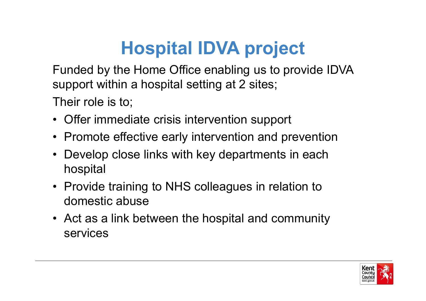# **Hospital IDVA project**

Funded by the Home Office enabling us to provide IDVA support within a hospital setting at 2 sites;

Their role is to;

- Offer immediate crisis intervention support
- Promote effective early intervention and prevention
- Develop close links with key departments in each hospital
- Provide training to NHS colleagues in relation to domestic abuse
- Act as a link between the hospital and community services

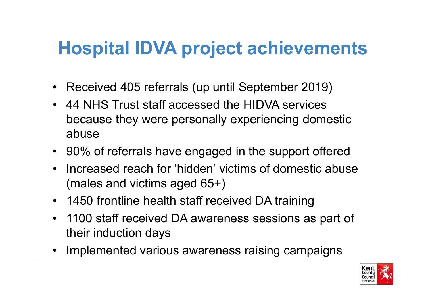# **Hospital IDVA project achievements**

- Received 405 referrals (up until September 2019)
- 44 NHS Trust staff accessed the HIDVA services because they were personally experiencing domestic abuse
- 90% of referrals have engaged in the support offered
- • Increased reach for 'hidden' victims of domestic abuse (males and victims aged 65+)
- 1450 frontline health staff received DA training
- $\bullet$  1100 staff received DA awareness sessions as part of their induction days
- Implemented various awareness raising campaigns

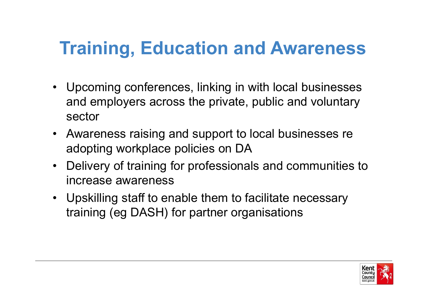## **Training, Education and Awareness**

- Upcoming conferences, linking in with local businesses<br>end explanate across the princts within and industant and employers across the private, public and voluntary sector
- Awareness raising and support to local businesses re adopting workplace policies on DA
- Delivery of training for professionals and communities to increase awareness
- Upskilling staff to enable them to facilitate necessary<br>training (ex DACU) for nartner examinations training (eg DASH) for partner organisations

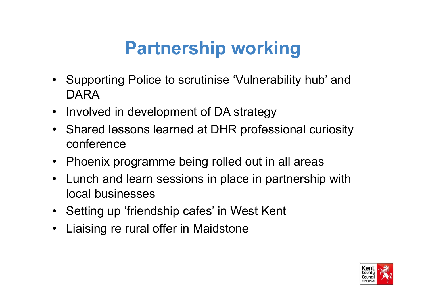# **Partnership working**

- Supporting Police to scrutinise 'Vulnerability hub' and<br> DARA
- Involved in development of DA strategy  $\bullet$
- Shared lessons learned at DHR professional curiosity conference
- Phoenix programme being rolled out in all areas
- Lunch and learn sessions in place in partnership with least businesses. local businesses
- Setting up 'friendship cafes' in West Kent
- $\bullet$ Liaising re rural offer in Maidstone

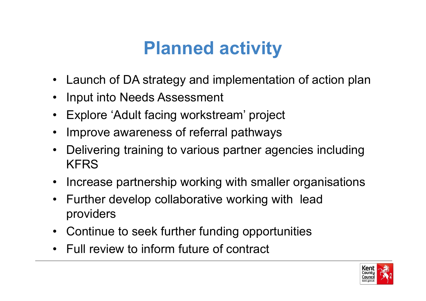# **Planned activity**

- $\bullet$ Launch of DA strategy and implementation of action pla n
- $\bullet$ Input into Needs Assessment
- •Explore 'Adult facing workstream' project
- •Improve awareness of referral pathways
- • Delivering training to various partner agencies including KFRS
- Increase partnership working with smaller organisations
- • Further develop collaborative working with lead providers
- Continue to seek further funding opportunities
- Full review to inform future of contract